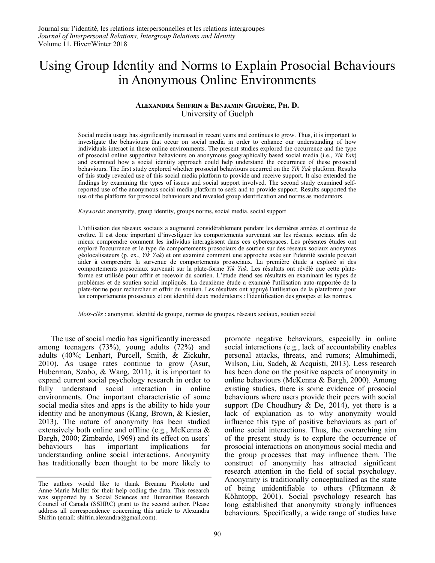# Using Group Identity and Norms to Explain Prosocial Behaviours in Anonymous Online Environments

#### ALEXANDRA SHIFRIN & BENJAMIN GIGUÈRE, PH. D. University of Guelph

Social media usage has significantly increased in recent years and continues to grow. Thus, it is important to investigate the behaviours that occur on social media in order to enhance our understanding of how individuals interact in these online environments. The present studies explored the occurrence and the type of prosocial online supportive behaviours on anonymous geographically based social media (i.e., *Yik Yak*) and examined how a social identity approach could help understand the occurrence of these prosocial behaviours. The first study explored whether prosocial behaviours occurred on the *Yik Yak* platform. Results of this study revealed use of this social media platform to provide and receive support. It also extended the findings by examining the types of issues and social support involved. The second study examined selfreported use of the anonymous social media platform to seek and to provide support. Results supported the use of the platform for prosocial behaviours and revealed group identification and norms as moderators.

*Keywords*: anonymity, group identity, groups norms, social media, social support

L'utilisation des réseaux sociaux a augmenté considérablement pendant les dernières années et continue de croître. Il est donc important d'investiguer les comportements survenant sur les réseaux sociaux afin de mieux comprendre comment les individus interagissent dans ces cyberespaces. Les présentes études ont exploré l'occurrence et le type de comportements prosociaux de soutien sur des réseaux sociaux anonymes géolocalisateurs (p. ex., *Yik Yak*) et ont examiné comment une approche axée sur l'identité sociale pouvait aider à comprendre la survenue de comportements prosociaux. La première étude a exploré si des comportements prosociaux survenait sur la plate-forme *Yik Yak*. Les résultats ont révélé que cette plateforme est utilisée pour offrir et recevoir du soutien. L'étude étend ses résultats en examinant les types de problèmes et de soutien social impliqués. La deuxième étude a examiné l'utilisation auto-rapportée de la plate-forme pour rechercher et offrir du soutien. Les résultats ont appuyé l'utilisation de la plateforme pour les comportements prosociaux et ont identifié deux modérateurs : l'identification des groupes et les normes.

*Mots-clés* : anonymat, identité de groupe, normes de groupes, réseaux sociaux, soutien social

 The use of social media has significantly increased among teenagers (73%), young adults (72%) and adults (40%; Lenhart, Purcell, Smith, & Zickuhr, 2010). As usage rates continue to grow (Asur, Huberman, Szabo, & Wang, 2011), it is important to expand current social psychology research in order to fully understand social interaction in online environments. One important characteristic of some social media sites and apps is the ability to hide your identity and be anonymous (Kang, Brown, & Kiesler, 2013). The nature of anonymity has been studied extensively both online and offline (e.g., McKenna & Bargh, 2000; Zimbardo, 1969) and its effect on users' behaviours has important implications for understanding online social interactions. Anonymity has traditionally been thought to be more likely to promote negative behaviours, especially in online social interactions (e.g., lack of accountability enables personal attacks, threats, and rumors; Almuhimedi, Wilson, Liu, Sadeh, & Acquisti, 2013). Less research has been done on the positive aspects of anonymity in online behaviours (McKenna & Bargh, 2000). Among existing studies, there is some evidence of prosocial behaviours where users provide their peers with social support (De Choudhury  $&$  De, 2014), yet there is a lack of explanation as to why anonymity would influence this type of positive behaviours as part of online social interactions. Thus, the overarching aim of the present study is to explore the occurrence of prosocial interactions on anonymous social media and the group processes that may influence them. The construct of anonymity has attracted significant research attention in the field of social psychology. Anonymity is traditionally conceptualized as the state of being unidentifiable to others (Pfitzmann & Köhntopp, 2001). Social psychology research has long established that anonymity strongly influences behaviours. Specifically, a wide range of studies have

The authors would like to thank Breanna Picolotto and Anne-Marie Muller for their help coding the data. This research was supported by a Social Sciences and Humanities Research Council of Canada (SSHRC) grant to the second author. Please address all correspondence concerning this article to Alexandra Shifrin (email: shifrin.alexandra@gmail.com).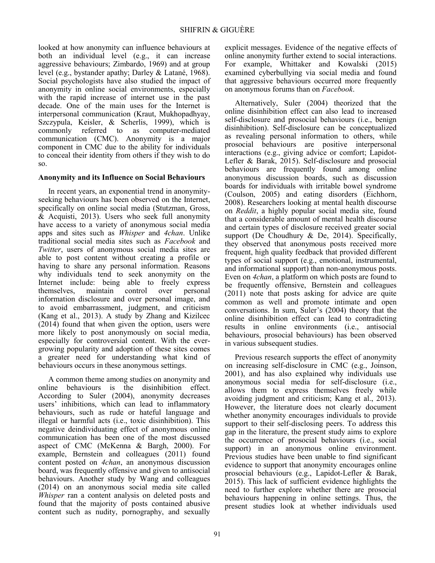looked at how anonymity can influence behaviours at both an individual level (e.g., it can increase aggressive behaviours; Zimbardo, 1969) and at group level (e.g., bystander apathy; Darley & Latané, 1968). Social psychologists have also studied the impact of anonymity in online social environments, especially with the rapid increase of internet use in the past decade. One of the main uses for the Internet is interpersonal communication (Kraut, Mukhopadhyay, Szczypula, Keisler, & Scherlis, 1999), which is commonly referred to as computer-mediated communication (CMC). Anonymity is a major component in CMC due to the ability for individuals to conceal their identity from others if they wish to do so.

#### **Anonymity and its Influence on Social Behaviours**

In recent years, an exponential trend in anonymityseeking behaviours has been observed on the Internet, specifically on online social media (Stutzman, Gross, & Acquisti, 2013). Users who seek full anonymity have access to a variety of anonymous social media apps and sites such as *Whisper* and *4chan*. Unlike traditional social media sites such as *Facebook* and *Twitter*, users of anonymous social media sites are able to post content without creating a profile or having to share any personal information. Reasons why individuals tend to seek anonymity on the Internet include: being able to freely express themselves, maintain control over personal information disclosure and over personal image, and to avoid embarrassment, judgment, and criticism (Kang et al., 2013). A study by Zhang and Kizilcec (2014) found that when given the option, users were more likely to post anonymously on social media, especially for controversial content. With the evergrowing popularity and adoption of these sites comes a greater need for understanding what kind of behaviours occurs in these anonymous settings.

A common theme among studies on anonymity and online behaviours is the disinhibition effect. According to Suler (2004), anonymity decreases users' inhibitions, which can lead to inflammatory behaviours, such as rude or hateful language and illegal or harmful acts (i.e., toxic disinhibition). This negative deindividuating effect of anonymous online communication has been one of the most discussed aspect of CMC (McKenna & Bargh, 2000). For example, Bernstein and colleagues (2011) found content posted on *4chan*, an anonymous discussion board, was frequently offensive and given to antisocial behaviours. Another study by Wang and colleagues (2014) on an anonymous social media site called *Whisper* ran a content analysis on deleted posts and found that the majority of posts contained abusive content such as nudity, pornography, and sexually

explicit messages. Evidence of the negative effects of online anonymity further extend to social interactions. For example, Whittaker and Kowalski (2015) examined cyberbullying via social media and found that aggressive behaviours occurred more frequently on anonymous forums than on *Facebook*.

Alternatively, Suler (2004) theorized that the online disinhibition effect can also lead to increased self-disclosure and prosocial behaviours (i.e., benign disinhibition). Self-disclosure can be conceptualized as revealing personal information to others, while prosocial behaviours are positive interpersonal interactions (e.g., giving advice or comfort; Lapidot-Lefler & Barak, 2015). Self-disclosure and prosocial behaviours are frequently found among online anonymous discussion boards, such as discussion boards for individuals with irritable bowel syndrome (Coulson, 2005) and eating disorders (Eichhorn, 2008). Researchers looking at mental health discourse on *Reddit*, a highly popular social media site, found that a considerable amount of mental health discourse and certain types of disclosure received greater social support (De Choudhury & De, 2014). Specifically, they observed that anonymous posts received more frequent, high quality feedback that provided different types of social support (e.g., emotional, instrumental, and informational support) than non-anonymous posts. Even on *4chan*, a platform on which posts are found to be frequently offensive, Bernstein and colleagues (2011) note that posts asking for advice are quite common as well and promote intimate and open conversations. In sum, Suler's (2004) theory that the online disinhibition effect can lead to contradicting results in online environments (i.e., antisocial behaviours, prosocial behaviours) has been observed in various subsequent studies.

Previous research supports the effect of anonymity on increasing self-disclosure in CMC (e.g., Joinson, 2001), and has also explained why individuals use anonymous social media for self-disclosure (i.e., allows them to express themselves freely while avoiding judgment and criticism; Kang et al., 2013). However, the literature does not clearly document whether anonymity encourages individuals to provide support to their self-disclosing peers. To address this gap in the literature, the present study aims to explore the occurrence of prosocial behaviours (i.e., social support) in an anonymous online environment. Previous studies have been unable to find significant evidence to support that anonymity encourages online prosocial behaviours (e.g., Lapidot-Lefler & Barak, 2015). This lack of sufficient evidence highlights the need to further explore whether there are prosocial behaviours happening in online settings. Thus, the present studies look at whether individuals used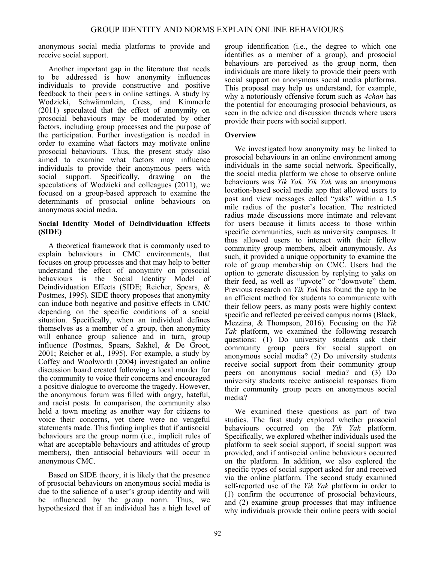anonymous social media platforms to provide and receive social support.

Another important gap in the literature that needs to be addressed is how anonymity influences individuals to provide constructive and positive feedback to their peers in online settings. A study by Wodzicki, Schwämmlein, Cress, and Kimmerle (2011) speculated that the effect of anonymity on prosocial behaviours may be moderated by other factors, including group processes and the purpose of the participation. Further investigation is needed in order to examine what factors may motivate online prosocial behaviours. Thus, the present study also aimed to examine what factors may influence individuals to provide their anonymous peers with social support. Specifically, drawing on the speculations of Wodzicki and colleagues (2011), we focused on a group-based approach to examine the determinants of prosocial online behaviours on anonymous social media.

#### **Social Identity Model of Deindividuation Effects (SIDE)**

A theoretical framework that is commonly used to explain behaviours in CMC environments, that focuses on group processes and that may help to better understand the effect of anonymity on prosocial behaviours is the Social Identity Model of Deindividuation Effects (SIDE; Reicher, Spears, & Postmes, 1995). SIDE theory proposes that anonymity can induce both negative and positive effects in CMC depending on the specific conditions of a social situation. Specifically, when an individual defines themselves as a member of a group, then anonymity will enhance group salience and in turn, group influence (Postmes, Spears, Sakhel, & De Groot, 2001; Reicher et al., 1995). For example, a study by Coffey and Woolworth (2004) investigated an online discussion board created following a local murder for the community to voice their concerns and encouraged a positive dialogue to overcome the tragedy. However, the anonymous forum was filled with angry, hateful, and racist posts. In comparison, the community also held a town meeting as another way for citizens to voice their concerns, yet there were no vengeful statements made. This finding implies that if antisocial behaviours are the group norm (i.e., implicit rules of what are acceptable behaviours and attitudes of group members), then antisocial behaviours will occur in anonymous CMC.

Based on SIDE theory, it is likely that the presence of prosocial behaviours on anonymous social media is due to the salience of a user's group identity and will be influenced by the group norm. Thus, we hypothesized that if an individual has a high level of group identification (i.e., the degree to which one identifies as a member of a group), and prosocial behaviours are perceived as the group norm, then individuals are more likely to provide their peers with social support on anonymous social media platforms. This proposal may help us understand, for example, why a notoriously offensive forum such as *4chan* has the potential for encouraging prosocial behaviours, as seen in the advice and discussion threads where users provide their peers with social support.

### **Overview**

We investigated how anonymity may be linked to prosocial behaviours in an online environment among individuals in the same social network. Specifically, the social media platform we chose to observe online behaviours was *Yik Yak*. *Yik Yak* was an anonymous location-based social media app that allowed users to post and view messages called "yaks" within a 1.5 mile radius of the poster's location. The restricted radius made discussions more intimate and relevant for users because it limits access to those within specific communities, such as university campuses. It thus allowed users to interact with their fellow community group members, albeit anonymously. As such, it provided a unique opportunity to examine the role of group membership on CMC. Users had the option to generate discussion by replying to yaks on their feed, as well as "upvote" or "downvote" them. Previous research on *Yik Yak* has found the app to be an efficient method for students to communicate with their fellow peers, as many posts were highly context specific and reflected perceived campus norms (Black, Mezzina, & Thompson, 2016). Focusing on the *Yik Yak* platform, we examined the following research questions: (1) Do university students ask their community group peers for social support on anonymous social media? (2) Do university students receive social support from their community group peers on anonymous social media? and (3) Do university students receive antisocial responses from their community group peers on anonymous social media?

We examined these questions as part of two studies. The first study explored whether prosocial behaviours occurred on the *Yik Yak* platform. Specifically, we explored whether individuals used the platform to seek social support, if social support was provided, and if antisocial online behaviours occurred on the platform. In addition, we also explored the specific types of social support asked for and received via the online platform. The second study examined self-reported use of the *Yik Yak* platform in order to (1) confirm the occurrence of prosocial behaviours, and (2) examine group processes that may influence why individuals provide their online peers with social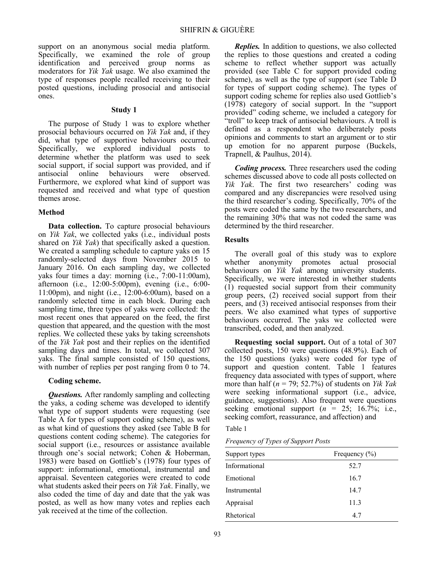support on an anonymous social media platform. Specifically, we examined the role of group identification and perceived group norms as moderators for *Yik Yak* usage. We also examined the type of responses people recalled receiving to their posted questions, including prosocial and antisocial ones.

#### **Study 1**

The purpose of Study 1 was to explore whether prosocial behaviours occurred on *Yik Yak* and, if they did, what type of supportive behaviours occurred. Specifically, we explored individual posts to determine whether the platform was used to seek social support, if social support was provided, and if antisocial online behaviours were observed. behaviours were observed. Furthermore, we explored what kind of support was requested and received and what type of question themes arose.

#### **Method**

**Data collection.** To capture prosocial behaviours on *Yik Yak*, we collected yaks (i.e., individual posts shared on *Yik Yak*) that specifically asked a question. We created a sampling schedule to capture yaks on 15 randomly-selected days from November 2015 to January 2016. On each sampling day, we collected yaks four times a day: morning (i.e., 7:00-11:00am), afternoon (i.e., 12:00-5:00pm), evening (i.e., 6:00- 11:00pm), and night (i.e., 12:00-6:00am), based on a randomly selected time in each block. During each sampling time, three types of yaks were collected: the most recent ones that appeared on the feed, the first question that appeared, and the question with the most replies. We collected these yaks by taking screenshots of the *Yik Yak* post and their replies on the identified sampling days and times. In total, we collected 307 yaks. The final sample consisted of 150 questions, with number of replies per post ranging from 0 to 74.

#### **Coding scheme.**

*Questions.* After randomly sampling and collecting the yaks, a coding scheme was developed to identify what type of support students were requesting (see Table A for types of support coding scheme), as well as what kind of questions they asked (see Table B for questions content coding scheme). The categories for social support (i.e., resources or assistance available through one's social network; Cohen & Hoberman, 1983) were based on Gottlieb's (1978) four types of support: informational, emotional, instrumental and appraisal. Seventeen categories were created to code what students asked their peers on *Yik Yak*. Finally, we also coded the time of day and date that the yak was posted, as well as how many votes and replies each yak received at the time of the collection.

*Replies.* In addition to questions, we also collected the replies to those questions and created a coding scheme to reflect whether support was actually provided (see Table C for support provided coding scheme), as well as the type of support (see Table D for types of support coding scheme). The types of support coding scheme for replies also used Gottlieb's (1978) category of social support. In the "support provided" coding scheme, we included a category for "troll" to keep track of antisocial behaviours. A troll is defined as a respondent who deliberately posts opinions and comments to start an argument or to stir up emotion for no apparent purpose (Buckels, Trapnell, & Paulhus, 2014).

*Coding process.* Three researchers used the coding schemes discussed above to code all posts collected on *Yik Yak*. The first two researchers' coding was compared and any discrepancies were resolved using the third researcher's coding. Specifically, 70% of the posts were coded the same by the two researchers, and the remaining 30% that was not coded the same was determined by the third researcher.

#### **Results**

The overall goal of this study was to explore whether anonymity promotes actual prosocial behaviours on *Yik Yak* among university students. Specifically, we were interested in whether students (1) requested social support from their community group peers, (2) received social support from their peers, and (3) received antisocial responses from their peers. We also examined what types of supportive behaviours occurred. The yaks we collected were transcribed, coded, and then analyzed.

**Requesting social support.** Out of a total of 307 collected posts, 150 were questions (48.9%). Each of the 150 questions (yaks) were coded for type of support and question content. Table 1 features frequency data associated with types of support, where more than half (*n* = 79; 52.7%) of students on *Yik Yak* were seeking informational support (i.e., advice, guidance, suggestions). Also frequent were questions seeking emotional support  $(n = 25; 16.7\%; i.e.,$ seeking comfort, reassurance, and affection) and

Table 1

*Frequency of Types of Support Posts*

| Support types | Frequency $(\% )$ |
|---------------|-------------------|
| Informational | 52.7              |
| Emotional     | 16.7              |
| Instrumental  | 14.7              |
| Appraisal     | 11.3              |
| Rhetorical    | 4.7               |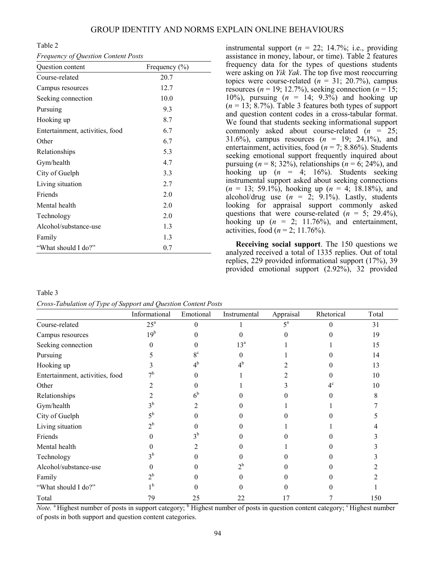Table 2

*Frequency of Question Content Posts*

| Question content                | Frequency $(\% )$ |
|---------------------------------|-------------------|
| Course-related                  | 20.7              |
| Campus resources                | 12.7              |
| Seeking connection              | 10.0              |
| Pursuing                        | 9.3               |
| Hooking up                      | 8.7               |
| Entertainment, activities, food | 6.7               |
| Other                           | 6.7               |
| Relationships                   | 5.3               |
| Gym/health                      | 4.7               |
| City of Guelph                  | 3.3               |
| Living situation                | 2.7               |
| Friends                         | 2.0               |
| Mental health                   | 2.0               |
| Technology                      | 2.0               |
| Alcohol/substance-use           | 1.3               |
| Family                          | 1.3               |
| "What should I do?"             | 0.7               |

instrumental support  $(n = 22; 14.7\%; i.e., providing)$ assistance in money, labour, or time). Table 2 features frequency data for the types of questions students were asking on *Yik Yak*. The top five most reoccurring topics were course-related  $(n = 31; 20.7\%)$ , campus resources ( $n = 19$ ; 12.7%), seeking connection ( $n = 15$ ; 10%), pursuing (*n* = 14; 9.3%) and hooking up (*n* = 13; 8.7%). Table 3 features both types of support and question content codes in a cross-tabular format. We found that students seeking informational support commonly asked about course-related (*n* = 25; 31.6%), campus resources (*n* = 19; 24.1%), and entertainment, activities, food (*n* = 7; 8.86%). Students seeking emotional support frequently inquired about pursuing  $(n = 8; 32\%)$ , relationships  $(n = 6; 24\%)$ , and hooking up (*n* = 4; 16%). Students seeking instrumental support asked about seeking connections (*n* = 13; 59.1%), hooking up (*n* = 4; 18.18%), and alcohol/drug use  $(n = 2, 9.1\%)$ . Lastly, students looking for appraisal support commonly asked questions that were course-related  $(n = 5, 29.4\%)$ , hooking up  $(n = 2; 11.76\%)$ , and entertainment, activities, food ( $n = 2$ ; 11.76%).

**Receiving social support**. The 150 questions we analyzed received a total of 1335 replies. Out of total replies, 229 provided informational support (17%), 39 provided emotional support (2.92%), 32 provided

Table 3 *Cross-Tabulation of Type of Support and Question Content Posts*

| $\checkmark$<br>$\overline{ }$  | $\overline{1}$<br>Informational | Emotional   | Instrumental    | Appraisal   | Rhetorical | Total |
|---------------------------------|---------------------------------|-------------|-----------------|-------------|------------|-------|
| Course-related                  | $25^{\rm a}$                    | 0           |                 | $5^{\rm a}$ |            | 31    |
| Campus resources                | 19 <sup>b</sup>                 |             |                 |             |            | 19    |
| Seeking connection              |                                 |             | 13 <sup>a</sup> |             |            | 15    |
| Pursuing                        |                                 | $8^{\circ}$ | 0               |             |            | 14    |
| Hooking up                      |                                 | $4^{\rm b}$ | $4^{\rm b}$     |             |            | 13    |
| Entertainment, activities, food |                                 |             |                 |             |            | 10    |
| Other                           |                                 |             |                 |             |            | 10    |
| Relationships                   |                                 | $6^{\circ}$ |                 |             |            |       |
| Gym/health                      |                                 |             |                 |             |            |       |
| City of Guelph                  |                                 |             |                 |             |            |       |
| Living situation                |                                 |             |                 |             |            |       |
| Friends                         |                                 | οb          |                 |             |            |       |
| Mental health                   |                                 |             |                 |             |            |       |
| Technology                      |                                 |             |                 |             |            |       |
| Alcohol/substance-use           |                                 |             | $2^{\rm b}$     |             |            |       |
| Family                          |                                 |             |                 |             |            |       |
| "What should I do?"             |                                 |             |                 |             |            |       |
| Total                           | 79                              | 25          | 22              | 17          |            | 150   |

*Note.* <sup>a</sup> Highest number of posts in support category; <sup>b</sup> Highest number of posts in question content category; <sup>c</sup> Highest number of posts in both support and question content categories.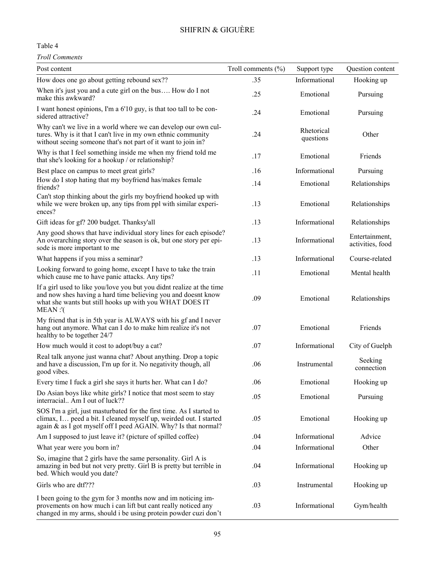#### Table 4

*Troll Comments*

| Post content                                                                                                                                                                                                | Troll comments (%) | Support type            | Question content                   |
|-------------------------------------------------------------------------------------------------------------------------------------------------------------------------------------------------------------|--------------------|-------------------------|------------------------------------|
| How does one go about getting rebound sex??                                                                                                                                                                 | .35                | Informational           | Hooking up                         |
| When it's just you and a cute girl on the bus How do I not<br>make this awkward?                                                                                                                            | .25                | Emotional               | Pursuing                           |
| I want honest opinions, I'm a 6'10 guy, is that too tall to be con-<br>sidered attractive?                                                                                                                  | .24                | Emotional               | Pursuing                           |
| Why can't we live in a world where we can develop our own cul-<br>tures. Why is it that I can't live in my own ethnic community<br>without seeing someone that's not part of it want to join in?            | .24                | Rhetorical<br>questions | Other                              |
| Why is that I feel something inside me when my friend told me<br>that she's looking for a hookup / or relationship?                                                                                         | .17                | Emotional               | Friends                            |
| Best place on campus to meet great girls?                                                                                                                                                                   | .16                | Informational           | Pursuing                           |
| How do I stop hating that my boyfriend has/makes female<br>friends?                                                                                                                                         | .14                | Emotional               | Relationships                      |
| Can't stop thinking about the girls my boyfriend hooked up with<br>while we were broken up, any tips from ppl with similar experi-<br>ences?                                                                | .13                | Emotional               | Relationships                      |
| Gift ideas for gf? 200 budget. Thanksy'all                                                                                                                                                                  | .13                | Informational           | Relationships                      |
| Any good shows that have individual story lines for each episode?<br>An overarching story over the season is ok, but one story per epi-<br>sode is more important to me                                     | .13                | Informational           | Entertainment,<br>activities, food |
| What happens if you miss a seminar?                                                                                                                                                                         | .13                | Informational           | Course-related                     |
| Looking forward to going home, except I have to take the train<br>which cause me to have panic attacks. Any tips?                                                                                           | .11                | Emotional               | Mental health                      |
| If a girl used to like you/love you but you didnt realize at the time<br>and now shes having a hard time believing you and doesnt know<br>what she wants but still hooks up with you WHAT DOES IT<br>MEAN:  | .09                | Emotional               | Relationships                      |
| My friend that is in 5th year is ALWAYS with his gf and I never<br>hang out anymore. What can I do to make him realize it's not<br>healthy to be together 24/7                                              | .07                | Emotional               | Friends                            |
| How much would it cost to adopt/buy a cat?                                                                                                                                                                  | .07                | Informational           | City of Guelph                     |
| Real talk anyone just wanna chat? About anything. Drop a topic<br>and have a discussion, I'm up for it. No negativity though, all<br>good vibes.                                                            | .06                | Instrumental            | Seeking<br>connection              |
| Every time I fuck a girl she says it hurts her. What can I do?                                                                                                                                              | .06                | Emotional               | Hooking up                         |
| Do Asian boys like white girls? I notice that most seem to stay<br>interracial Am I out of luck??                                                                                                           | .05                | Emotional               | Pursuing                           |
| SOS I'm a girl, just masturbated for the first time. As I started to<br>climax, I peed a bit. I cleaned myself up, weirded out. I started<br>again & as I got myself off I peed AGAIN. Why? Is that normal? | .05                | Emotional               | Hooking up                         |
| Am I supposed to just leave it? (picture of spilled coffee)                                                                                                                                                 | .04                | Informational           | Advice                             |
| What year were you born in?                                                                                                                                                                                 | .04                | Informational           | Other                              |
| So, imagine that 2 girls have the same personality. Girl A is<br>amazing in bed but not very pretty. Girl B is pretty but terrible in<br>bed. Which would you date?                                         | .04                | Informational           | Hooking up                         |
| Girls who are dtf???                                                                                                                                                                                        | .03                | Instrumental            | Hooking up                         |
| I been going to the gym for 3 months now and im noticing im-<br>provements on how much i can lift but cant really noticed any<br>changed in my arms, should i be using protein powder cuzi don't            | .03                | Informational           | Gym/health                         |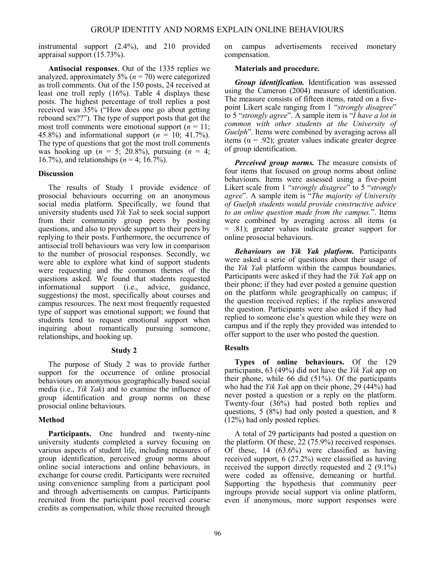instrumental support (2.4%), and 210 provided appraisal support (15.73%).

**Antisocial responses**. Out of the 1335 replies we analyzed, approximately  $5\%$  ( $n = 70$ ) were categorized as troll comments. Out of the 150 posts, 24 received at least one troll reply (16%). Table 4 displays these posts. The highest percentage of troll replies a post received was 35% ("How does one go about getting rebound sex??"). The type of support posts that got the most troll comments were emotional support  $(n = 11)$ ; 45.8%) and informational support (*n* = 10; 41.7%). The type of questions that got the most troll comments was hooking up ( $n = 5$ ; 20.8%), pursuing ( $n = 4$ ; 16.7%), and relationships (*n* = 4; 16.7%).

#### **Discussion**

The results of Study 1 provide evidence of prosocial behaviours occurring on an anonymous social media platform. Specifically, we found that university students used *Yik Yak* to seek social support from their community group peers by posting questions, and also to provide support to their peers by replying to their posts. Furthermore, the occurrence of antisocial troll behaviours was very low in comparison to the number of prosocial responses. Secondly, we were able to explore what kind of support students were requesting and the common themes of the questions asked. We found that students requested informational support (i.e., advice, guidance, suggestions) the most, specifically about courses and campus resources. The next most frequently requested type of support was emotional support; we found that students tend to request emotional support when inquiring about romantically pursuing someone, relationships, and hooking up.

#### **Study 2**

The purpose of Study 2 was to provide further support for the occurrence of online prosocial behaviours on anonymous geographically based social media (i.e., *Yik Yak*) and to examine the influence of group identification and group norms on these prosocial online behaviours.

#### **Method**

**Participants.** One hundred and twenty-nine university students completed a survey focusing on various aspects of student life, including measures of group identification, perceived group norms about online social interactions and online behaviours, in exchange for course credit. Participants were recruited using convenience sampling from a participant pool and through advertisements on campus. Participants recruited from the participant pool received course credits as compensation, while those recruited through on campus advertisements received monetary compensation.

#### **Materials and procedure.**

*Group identification.* Identification was assessed using the Cameron (2004) measure of identification. The measure consists of fifteen items, rated on a fivepoint Likert scale ranging from 1 "*strongly disagree*" to 5 "*strongly agree*". A sample item is "*I have a lot in common with other students at the University of Guelph*". Items were combined by averaging across all items ( $\alpha$  = .92); greater values indicate greater degree of group identification.

*Perceived group norms.* The measure consists of four items that focused on group norms about online behaviours. Items were assessed using a five-point Likert scale from 1 "*strongly disagree*" to 5 "*strongly agree*". A sample item is "*The majority of University of Guelph students would provide constructive advice to an online question made from the campus.*". Items were combined by averaging across all items  $(\alpha)$ = .81); greater values indicate greater support for online prosocial behaviours.

*Behaviours on Yik Yak platform.* Participants were asked a serie of questions about their usage of the *Yik Yak* platform within the campus boundaries. Participants were asked if they had the *Yik Yak* app on their phone; if they had ever posted a genuine question on the platform while geographically on campus; if the question received replies; if the replies answered the question. Participants were also asked if they had replied to someone else's question while they were on campus and if the reply they provided was intended to offer support to the user who posted the question.

### **Results**

**Types of online behaviours.** Of the 129 participants, 63 (49%) did not have the *Yik Yak* app on their phone, while 66 did (51%). Of the participants who had the *Yik Yak* app on their phone, 29 (44%) had never posted a question or a reply on the platform. Twenty-four (36%) had posted both replies and questions, 5 (8%) had only posted a question, and 8 (12%) had only posted replies.

A total of 29 participants had posted a question on the platform. Of these, 22 (75.9%) received responses. Of these, 14 (63.6%) were classified as having received support, 6 (27.2%) were classified as having received the support directly requested and 2 (9.1%) were coded as offensive, demeaning or hurtful. Supporting the hypothesis that community peer ingroups provide social support via online platform, even if anonymous, more support responses were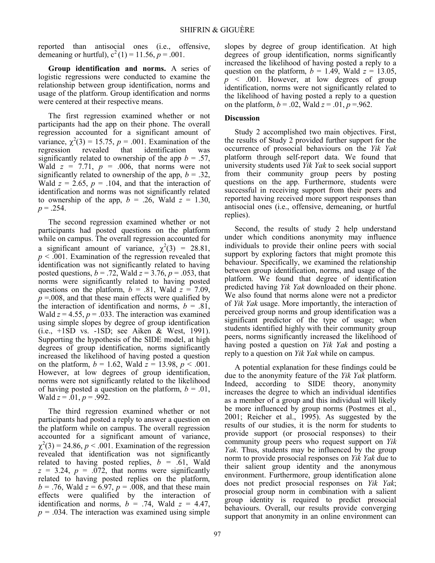reported than antisocial ones (i.e., offensive, demeaning or hurtful),  $c^2(1) = 11.56$ ,  $p = .001$ .

**Group identification and norms.** A series of logistic regressions were conducted to examine the relationship between group identification, norms and usage of the platform. Group identification and norms were centered at their respective means.

The first regression examined whether or not participants had the app on their phone. The overall regression accounted for a significant amount of variance,  $\chi^2(3) = 15.75$ ,  $p = .001$ . Examination of the regression revealed that identification was significantly related to ownership of the app  $b = .57$ , Wald  $z = 7.71$ ,  $p = .006$ , that norms were not significantly related to ownership of the app,  $b = .32$ , Wald  $z = 2.65$ ,  $p = .104$ , and that the interaction of identification and norms was not significantly related to ownership of the app,  $b = .26$ , Wald  $z = 1.30$ ,  $p = .254$ .

The second regression examined whether or not participants had posted questions on the platform while on campus. The overall regression accounted for a significant amount of variance,  $\chi^2(3) = 28.81$ , *p* < .001. Examination of the regression revealed that identification was not significantly related to having posted questions,  $b = .72$ , Wald  $z = 3.76$ ,  $p = .053$ , that norms were significantly related to having posted questions on the platform,  $b = .81$ , Wald  $z = 7.09$ ,  $p = 0.008$ , and that these main effects were qualified by the interaction of identification and norms,  $b = .81$ , Wald  $z = 4.55$ ,  $p = .033$ . The interaction was examined using simple slopes by degree of group identification (i.e., +1SD vs. -1SD; see Aiken & West, 1991). Supporting the hypothesis of the SIDE model, at high degrees of group identification, norms significantly increased the likelihood of having posted a question on the platform,  $b = 1.62$ , Wald  $z = 13.98$ ,  $p < .001$ . However, at low degrees of group identification, norms were not significantly related to the likelihood of having posted a question on the platform,  $b = .01$ , Wald  $z = .01$ ,  $p = .992$ .

The third regression examined whether or not participants had posted a reply to answer a question on the platform while on campus. The overall regression accounted for a significant amount of variance,  $\chi^2(3) = 24.86$ ,  $p < .001$ . Examination of the regression revealed that identification was not significantly related to having posted replies,  $b = .61$ , Wald  $z = 3.24$ ,  $p = .072$ , that norms were significantly related to having posted replies on the platform,  $b = .76$ , Wald  $z = 6.97$ ,  $p = .008$ , and that these main effects were qualified by the interaction of identification and norms,  $b = .74$ , Wald  $z = 4.47$ ,  $p = .034$ . The interaction was examined using simple

slopes by degree of group identification. At high degrees of group identification, norms significantly increased the likelihood of having posted a reply to a question on the platform,  $b = 1.49$ , Wald  $z = 13.05$ , *p* < .001. However, at low degrees of group identification, norms were not significantly related to the likelihood of having posted a reply to a question on the platform,  $b = .02$ , Wald  $z = .01$ ,  $p = .962$ .

#### **Discussion**

Study 2 accomplished two main objectives. First, the results of Study 2 provided further support for the occurrence of prosocial behaviours on the *Yik Yak* platform through self-report data. We found that university students used *Yik Yak* to seek social support from their community group peers by posting questions on the app. Furthermore, students were successful in receiving support from their peers and reported having received more support responses than antisocial ones (i.e., offensive, demeaning, or hurtful replies).

Second, the results of study 2 help understand under which conditions anonymity may influence individuals to provide their online peers with social support by exploring factors that might promote this behaviour. Specifically, we examined the relationship between group identification, norms, and usage of the platform. We found that degree of identification predicted having *Yik Yak* downloaded on their phone. We also found that norms alone were not a predictor of *Yik Yak* usage. More importantly, the interaction of perceived group norms and group identification was a significant predictor of the type of usage; when students identified highly with their community group peers, norms significantly increased the likelihood of having posted a question on *Yik Yak* and posting a reply to a question on *Yik Yak* while on campus.

A potential explanation for these findings could be due to the anonymity feature of the *Yik Yak* platform. Indeed, according to SIDE theory, anonymity increases the degree to which an individual identifies as a member of a group and this individual will likely be more influenced by group norms (Postmes et al., 2001; Reicher et al., 1995). As suggested by the results of our studies, it is the norm for students to provide support (or prosocial responses) to their community group peers who request support on *Yik Yak*. Thus, students may be influenced by the group norm to provide prosocial responses on *Yik Yak* due to their salient group identity and the anonymous environment. Furthermore, group identification alone does not predict prosocial responses on *Yik Yak*; prosocial group norm in combination with a salient group identity is required to predict prosocial behaviours. Overall, our results provide converging support that anonymity in an online environment can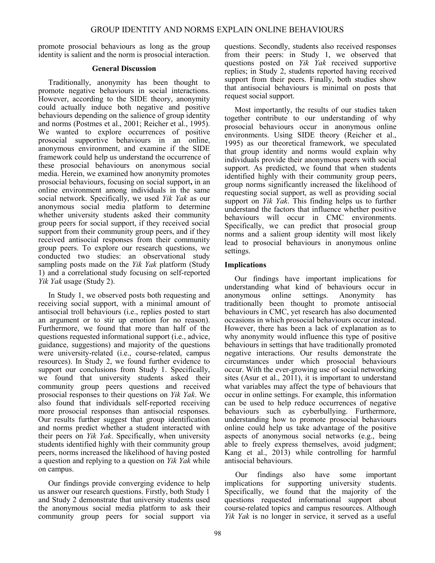promote prosocial behaviours as long as the group identity is salient and the norm is prosocial interaction.

#### **General Discussion**

Traditionally, anonymity has been thought to promote negative behaviours in social interactions. However, according to the SIDE theory, anonymity could actually induce both negative and positive behaviours depending on the salience of group identity and norms (Postmes et al., 2001; Reicher et al., 1995). We wanted to explore occurrences of positive prosocial supportive behaviours in an online, anonymous environment, and examine if the SIDE framework could help us understand the occurrence of these prosocial behaviours on anonymous social media. Herein, we examined how anonymity promotes prosocial behaviours, focusing on social support**,** in an online environment among individuals in the same social network. Specifically, we used *Yik Yak* as our anonymous social media platform to determine whether university students asked their community group peers for social support, if they received social support from their community group peers, and if they received antisocial responses from their community group peers. To explore our research questions, we conducted two studies: an observational study sampling posts made on the *Yik Yak* platform (Study 1) and a correlational study focusing on self-reported *Yik Yak* usage (Study 2).

In Study 1, we observed posts both requesting and receiving social support, with a minimal amount of antisocial troll behaviours (i.e., replies posted to start an argument or to stir up emotion for no reason). Furthermore, we found that more than half of the questions requested informational support (i.e., advice, guidance, suggestions) and majority of the questions were university-related (i.e., course-related, campus resources). In Study 2, we found further evidence to support our conclusions from Study 1. Specifically, we found that university students asked their community group peers questions and received prosocial responses to their questions on *Yik Yak*. We also found that individuals self-reported receiving more prosocial responses than antisocial responses. Our results further suggest that group identification and norms predict whether a student interacted with their peers on *Yik Yak*. Specifically, when university students identified highly with their community group peers, norms increased the likelihood of having posted a question and replying to a question on *Yik Yak* while on campus.

Our findings provide converging evidence to help us answer our research questions. Firstly, both Study 1 and Study 2 demonstrate that university students used the anonymous social media platform to ask their community group peers for social support via questions. Secondly, students also received responses from their peers: in Study 1, we observed that questions posted on *Yik Yak* received supportive replies; in Study 2, students reported having received support from their peers. Finally, both studies show that antisocial behaviours is minimal on posts that request social support.

Most importantly, the results of our studies taken together contribute to our understanding of why prosocial behaviours occur in anonymous online environments. Using SIDE theory (Reicher et al., 1995) as our theoretical framework, we speculated that group identity and norms would explain why individuals provide their anonymous peers with social support. As predicted, we found that when students identified highly with their community group peers, group norms significantly increased the likelihood of requesting social support, as well as providing social support on *Yik Yak*. This finding helps us to further understand the factors that influence whether positive behaviours will occur in CMC environments. Specifically, we can predict that prosocial group norms and a salient group identity will most likely lead to prosocial behaviours in anonymous online settings.

### **Implications**

Our findings have important implications for understanding what kind of behaviours occur in anonymous online settings. Anonymity has anonymous online settings. Anonymity has traditionally been thought to promote antisocial behaviours in CMC, yet research has also documented occasions in which prosocial behaviours occur instead. However, there has been a lack of explanation as to why anonymity would influence this type of positive behaviours in settings that have traditionally promoted negative interactions. Our results demonstrate the circumstances under which prosocial behaviours occur. With the ever-growing use of social networking sites (Asur et al., 2011), it is important to understand what variables may affect the type of behaviours that occur in online settings. For example, this information can be used to help reduce occurrences of negative behaviours such as cyberbullying. Furthermore, understanding how to promote prosocial behaviours online could help us take advantage of the positive aspects of anonymous social networks (e.g., being able to freely express themselves, avoid judgment; Kang et al., 2013) while controlling for harmful antisocial behaviours.

Our findings also have some important implications for supporting university students. Specifically, we found that the majority of the questions requested informational support about course-related topics and campus resources. Although *Yik Yak* is no longer in service, it served as a useful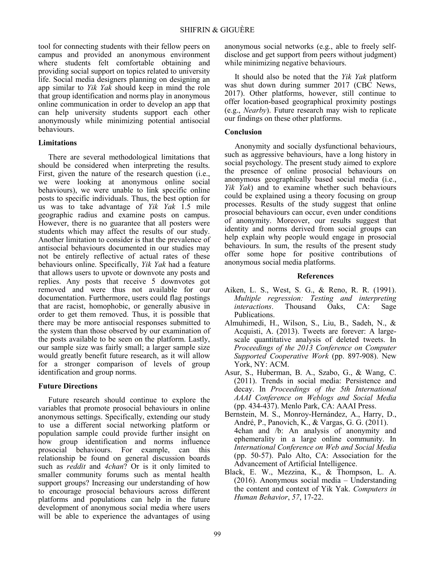tool for connecting students with their fellow peers on campus and provided an anonymous environment where students felt comfortable obtaining and providing social support on topics related to university life. Social media designers planning on designing an app similar to *Yik Yak* should keep in mind the role that group identification and norms play in anonymous online communication in order to develop an app that can help university students support each other anonymously while minimizing potential antisocial behaviours.

#### **Limitations**

There are several methodological limitations that should be considered when interpreting the results. First, given the nature of the research question (i.e., we were looking at anonymous online social behaviours), we were unable to link specific online posts to specific individuals. Thus, the best option for us was to take advantage of *Yik Yak* 1.5 mile geographic radius and examine posts on campus. However, there is no guarantee that all posters were students which may affect the results of our study. Another limitation to consider is that the prevalence of antisocial behaviours documented in our studies may not be entirely reflective of actual rates of these behaviours online. Specifically, *Yik Yak* had a feature that allows users to upvote or downvote any posts and replies. Any posts that receive 5 downvotes got removed and were thus not available for our documentation. Furthermore, users could flag postings that are racist, homophobic, or generally abusive in order to get them removed. Thus, it is possible that there may be more antisocial responses submitted to the system than those observed by our examination of the posts available to be seen on the platform. Lastly, our sample size was fairly small; a larger sample size would greatly benefit future research, as it will allow for a stronger comparison of levels of group identification and group norms.

#### **Future Directions**

Future research should continue to explore the variables that promote prosocial behaviours in online anonymous settings. Specifically, extending our study to use a different social networking platform or population sample could provide further insight on how group identification and norms influence prosocial behaviours. For example, can this relationship be found on general discussion boards such as *reddit* and *4chan*? Or is it only limited to smaller community forums such as mental health support groups? Increasing our understanding of how to encourage prosocial behaviours across different platforms and populations can help in the future development of anonymous social media where users will be able to experience the advantages of using anonymous social networks (e.g., able to freely selfdisclose and get support from peers without judgment) while minimizing negative behaviours.

It should also be noted that the *Yik Yak* platform was shut down during summer 2017 (CBC News, 2017). Other platforms, however, still continue to offer location-based geographical proximity postings (e.g., *Nearby*). Future research may wish to replicate our findings on these other platforms.

#### **Conclusion**

Anonymity and socially dysfunctional behaviours, such as aggressive behaviours, have a long history in social psychology. The present study aimed to explore the presence of online prosocial behaviours on anonymous geographically based social media (i.e., *Yik Yak*) and to examine whether such behaviours could be explained using a theory focusing on group processes. Results of the study suggest that online prosocial behaviours can occur, even under conditions of anonymity. Moreover, our results suggest that identity and norms derived from social groups can help explain why people would engage in prosocial behaviours. In sum, the results of the present study offer some hope for positive contributions of anonymous social media platforms.

#### **References**

- Aiken, L. S., West, S. G., & Reno, R. R. (1991). *Multiple regression: Testing and interpreting interactions*. Thousand Oaks, CA: Sage Publications.
- Almuhimedi, H., Wilson, S., Liu, B., Sadeh, N., & Acquisti, A. (2013). Tweets are forever: A largescale quantitative analysis of deleted tweets. In *Proceedings of the 2013 Conference on Computer Supported Cooperative Work* (pp. 897-908). New York, NY: ACM.
- Asur, S., Huberman, B. A., Szabo, G., & Wang, C. (2011). Trends in social media: Persistence and decay. In *Proceedings of the 5th International AAAI Conference on Weblogs and Social Media*  (pp. 434-437). Menlo Park, CA: AAAI Press.
- Bernstein, M. S., Monroy-Hernández, A., Harry, D., André, P., Panovich, K., & Vargas, G. G. (2011). 4chan and /b: An analysis of anonymity and ephemerality in a large online community. In *International Conference on Web and Social Media* (pp. 50-57). Palo Alto, CA: Association for the Advancement of Artificial Intelligence.
- Black, E. W., Mezzina, K., & Thompson, L. A. (2016). Anonymous social media – Understanding the content and context of Yik Yak. *Computers in Human Behavior*, *57*, 17-22.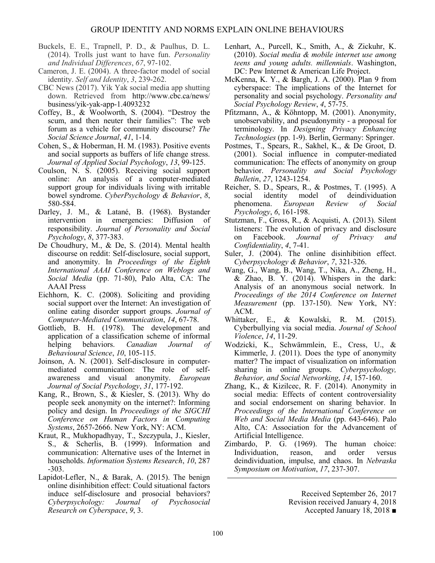- Buckels, E. E., Trapnell, P. D., & Paulhus, D. L. (2014). Trolls just want to have fun. *Personality and Individual Differences*, *67*, 97-102.
- Cameron, J. E. (2004). A three-factor model of social identity. *Self and Identity*, *3*, 239-262.
- CBC News (2017). Yik Yak social media app shutting down. Retrieved from http://www.cbc.ca/news/ business/yik-yak-app-1.4093232
- Coffey, B., & Woolworth, S. (2004). "Destroy the scum, and then neuter their families": The web forum as a vehicle for community discourse? *The Social Science Journal*, *41*, 1-14.
- Cohen, S., & Hoberman, H. M. (1983). Positive events and social supports as buffers of life change stress. *Journal of Applied Social Psychology*, *13*, 99-125.
- Coulson, N. S. (2005). Receiving social support online: An analysis of a computer-mediated support group for individuals living with irritable bowel syndrome. *CyberPsychology & Behavior*, *8*, 580-584.
- Darley, J. M., & Latané, B. (1968). Bystander intervention in emergencies: Diffusion of responsibility. *Journal of Personality and Social Psychology*, *8*, 377-383.
- De Choudhury, M., & De, S. (2014). Mental health discourse on reddit: Self-disclosure, social support, and anonymity. In *Proceedings of the Eighth International AAAI Conference on Weblogs and Social Media* (pp. 71-80), Palo Alta, CA: The AAAI Press
- Eichhorn, K. C. (2008). Soliciting and providing social support over the Internet: An investigation of online eating disorder support groups. *Journal of Computer‐Mediated Communication*, *14*, 67-78.
- Gottlieb, B. H. (1978). The development and application of a classification scheme of informal helping behaviors. *Canadian Journal of Behavioural Science*, *10*, 105-115.
- Joinson, A. N. (2001). Self-disclosure in computermediated communication: The role of self‐ awareness and visual anonymity. *European Journal of Social Psychology*, *31*, 177-192.
- Kang, R., Brown, S., & Kiesler, S. (2013). Why do people seek anonymity on the internet?: Informing policy and design. In *Proceedings of the SIGCHI Conference on Human Factors in Computing Systems*, 2657-2666. New York, NY: ACM.
- Kraut, R., Mukhopadhyay, T., Szczypula, J., Kiesler, S., & Scherlis, B. (1999). Information and communication: Alternative uses of the Internet in households. *Information Systems Research*, *10*, 287 -303.
- Lapidot-Lefler, N., & Barak, A. (2015). The benign online disinhibition effect: Could situational factors induce self-disclosure and prosocial behaviors?<br>Cyberpsychology: Journal of Psychosocial *Cyberpsychology: Journal of Psychosocial Research on Cyberspace*, *9*, 3.
- Lenhart, A., Purcell, K., Smith, A., & Zickuhr, K. (2010). *Social media & mobile internet use among teens and young adults. millennials*. Washington, DC: Pew Internet & American Life Project.
- McKenna, K. Y., & Bargh, J. A. (2000). Plan 9 from cyberspace: The implications of the Internet for personality and social psychology. *Personality and Social Psychology Review*, *4*, 57-75.
- Pfitzmann, A., & Köhntopp, M. (2001). Anonymity, unobservability, and pseudonymity - a proposal for terminology. In *Designing Privacy Enhancing Technologies* (pp. 1-9). Berlin, Germany: Springer.
- Postmes, T., Spears, R., Sakhel, K., & De Groot, D. (2001). Social influence in computer-mediated communication: The effects of anonymity on group behavior. *Personality and Social Psychology Bulletin*, *27*, 1243-1254.
- Reicher, S. D., Spears, R., & Postmes, T. (1995). A social identity model of deindividuation model of deindividuation phenomena. *European Review of Social Psychology*, *6*, 161-198.
- Stutzman, F., Gross, R., & Acquisti, A. (2013). Silent listeners: The evolution of privacy and disclosure on Facebook. *Journal of Privacy and Confidentiality*, *4*, 7-41.
- Suler, J. (2004). The online disinhibition effect. *Cyberpsychology & Behavior*, *7*, 321-326.
- Wang, G., Wang, B., Wang, T., Nika, A., Zheng, H., & Zhao, B. Y. (2014). Whispers in the dark: Analysis of an anonymous social network. In *Proceedings of the 2014 Conference on Internet Measurement* (pp. 137-150). New York, NY: ACM.
- Whittaker, E., & Kowalski, R. M. (2015). Cyberbullying via social media. *Journal of School Violence*, *14*, 11-29.
- Wodzicki, K., Schwämmlein, E., Cress, U., & Kimmerle, J. (2011). Does the type of anonymity matter? The impact of visualization on information sharing in online groups. *Cyberpsychology, Behavior, and Social Networking*, *14*, 157-160.
- Zhang, K., & Kizilcec, R. F. (2014). Anonymity in social media: Effects of content controversiality and social endorsement on sharing behavior. In *Proceedings of the International Conference on Web and Social Media Media* (pp. 643-646). Palo Alto, CA: Association for the Advancement of Artificial Intelligence.
- Zimbardo, P. G. (1969). The human choice: Individuation, reason, and order versus deindividuation, impulse, and chaos. In *Nebraska Symposium on Motivation*, *17*, 237-307.

Received September 26, 2017 Revision received January 4, 2018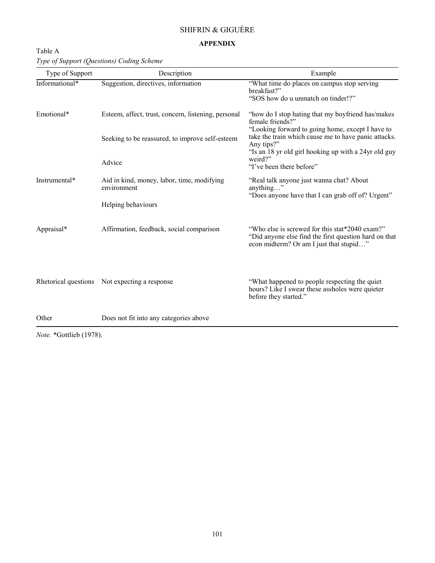## SHIFRIN & GIGUÈRE

### **APPENDIX**

| Table A                                   |  |
|-------------------------------------------|--|
| Type of Support (Questions) Coding Scheme |  |

| Type of Support | Description                                               | Example                                                                                                  |
|-----------------|-----------------------------------------------------------|----------------------------------------------------------------------------------------------------------|
| Informational*  | Suggestion, directives, information                       | "What time do places on campus stop serving<br>breakfast?"                                               |
|                 |                                                           | "SOS how do u unmatch on tinder!?"                                                                       |
| Emotional*      | Esteem, affect, trust, concern, listening, personal       | "how do I stop hating that my boyfriend has/makes<br>female friends?"                                    |
|                 | Seeking to be reassured, to improve self-esteem           | "Looking forward to going home, except I have to<br>take the train which cause me to have panic attacks. |
|                 |                                                           | Any tips?"<br>"Is an 18 yr old girl hooking up with a 24yr old guy                                       |
|                 | Advice                                                    | weird?"<br>"I've been there before"                                                                      |
| Instrumental*   | Aid in kind, money, labor, time, modifying<br>environment | "Real talk anyone just wanna chat? About<br>anything"                                                    |
|                 |                                                           | "Does anyone have that I can grab off of? Urgent"                                                        |
|                 | Helping behaviours                                        |                                                                                                          |
| Appraisal*      | Affirmation, feedback, social comparison                  | "Who else is screwed for this stat*2040 exam?"                                                           |
|                 |                                                           | "Did anyone else find the first question hard on that<br>econ midterm? Or am I just that stupid"         |
|                 |                                                           |                                                                                                          |
|                 | Rhetorical questions Not expecting a response             | "What happened to people respecting the quiet"                                                           |
|                 |                                                           | hours? Like I swear these assholes were quieter<br>before they started."                                 |
| Other           | Does not fit into any categories above                    |                                                                                                          |

*Note.* \*Gottlieb (1978).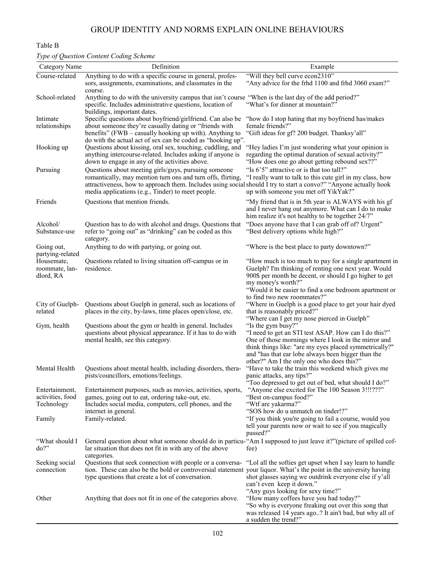## GROUP IDENTITY AND NORMS EXPLAIN ONLINE BEHAVIOURS

### Table B

### *Type of Question Content Coding Scheme*

| Category Name                                    | Definition                                                                                                                                                                                                                                                                                    | Example                                                                                                                                                                                                                                                                                         |  |
|--------------------------------------------------|-----------------------------------------------------------------------------------------------------------------------------------------------------------------------------------------------------------------------------------------------------------------------------------------------|-------------------------------------------------------------------------------------------------------------------------------------------------------------------------------------------------------------------------------------------------------------------------------------------------|--|
| Course-related                                   | Anything to do with a specific course in general, profes-<br>sors, assignments, examinations, and classmates in the<br>course.                                                                                                                                                                | "Will they bell curve econ2310"<br>"Any advice for the frhd 1100 and frhd 3060 exam?"                                                                                                                                                                                                           |  |
| School-related                                   | Anything to do with the university campus that isn't course "When is the last day of the add period?"<br>specific. Includes administrative questions, location of                                                                                                                             | "What's for dinner at mountain?"                                                                                                                                                                                                                                                                |  |
| Intimate<br>relationships                        | buildings, important dates.<br>Specific questions about boyfriend/girlfriend. Can also be<br>about someone they're casually dating or "friends with<br>benefits" (FWB – casually hooking up with). Anything to                                                                                | "how do I stop hating that my boyfriend has/makes<br>female friends?"<br>"Gift ideas for gf? 200 budget. Thanksy'all"                                                                                                                                                                           |  |
| Hooking up                                       | do with the actual act of sex can be coded as "hooking up".<br>Questions about kissing, oral sex, touching, cuddling, and<br>anything intercourse-related. Includes asking if anyone is<br>down to engage in any of the activities above.                                                     | "Hey ladies I'm just wondering what your opinion is<br>regarding the optimal duration of sexual activity?"<br>"How does one go about getting rebound sex??"                                                                                                                                     |  |
| Pursuing                                         | Questions about meeting girls/guys, pursuing someone<br>romantically, may mention turn ons and turn offs, flirting,<br>attractiveness, how to approach them. Includes using social should I try to start a convo?" "Anyone actually hook<br>media applications (e.g., Tinder) to meet people. | "Is 6'5" attractive or is that too tall?"<br>"I really want to talk to this cute girl in my class, how<br>up with someone you met off YikYak?"                                                                                                                                                  |  |
| Friends                                          | Questions that mention friends.                                                                                                                                                                                                                                                               | "My friend that is in 5th year is ALWAYS with his gf<br>and I never hang out anymore. What can I do to make<br>him realize it's not healthy to be together 24/7"                                                                                                                                |  |
| Alcohol/<br>Substance-use                        | Question has to do with alcohol and drugs. Questions that<br>refer to "going out" as "drinking" can be coded as this<br>category.                                                                                                                                                             | "Does anyone have that I can grab off of? Urgent"<br>"Best delivery options while high?"                                                                                                                                                                                                        |  |
| Going out,<br>partying-related                   | Anything to do with partying, or going out.                                                                                                                                                                                                                                                   | "Where is the best place to party downtown?"                                                                                                                                                                                                                                                    |  |
| Housemate,<br>roommate, lan-<br>dlord, RA        | Questions related to living situation off-campus or in<br>residence.                                                                                                                                                                                                                          | "How much is too much to pay for a single apartment in<br>Guelph? I'm thinking of renting one next year. Would<br>900\$ per month be decent, or should I go higher to get<br>my money's worth?"<br>"Would it be easier to find a one bedroom apartment or                                       |  |
| City of Guelph-<br>related                       | Questions about Guelph in general, such as locations of<br>places in the city, by-laws, time places open/close, etc.                                                                                                                                                                          | to find two new roommates?"<br>"Where in Guelph is a good place to get your hair dyed<br>that is reasonably priced?"<br>"Where can I get my nose pierced in Guelph"                                                                                                                             |  |
| Gym, health                                      | Questions about the gym or health in general. Includes<br>questions about physical appearance. If it has to do with<br>mental health, see this category.                                                                                                                                      | "Is the gym busy?"<br>"I need to get an STI test ASAP. How can I do this?"<br>One of those mornings where I look in the mirror and<br>think things like: "are my eyes placed symmetrically?"<br>and "has that ear lobe always been bigger than the<br>other?" Am I the only one who does this?" |  |
| Mental Health                                    | Questions about mental health, including disorders, thera-<br>pists/councillors, emotions/feelings.                                                                                                                                                                                           | "Have to take the train this weekend which gives me<br>panic attacks, any tips?"<br>"Too depressed to get out of bed, what should I do?"                                                                                                                                                        |  |
| Entertainment,<br>activities, food<br>Technology | Entertainment purposes, such as movies, activities, sports,<br>games, going out to eat, ordering take-out, etc.<br>Includes social media, computers, cell phones, and the                                                                                                                     | "Anyone else excited for The 100 Season 3!!!???"<br>"Best on-campus food?"<br>"Wtf are yakarma?"                                                                                                                                                                                                |  |
| Family                                           | internet in general.<br>Family-related.                                                                                                                                                                                                                                                       | "SOS how do u unmatch on tinder!?"<br>"If you think you're going to fail a course, would you<br>tell your parents now or wait to see if you magically<br>passed?"                                                                                                                               |  |
| "What should I<br>do?"                           | General question about what someone should do in particu-"Am I supposed to just leave it?" (picture of spilled cof-<br>lar situation that does not fit in with any of the above<br>categories.                                                                                                | fee)                                                                                                                                                                                                                                                                                            |  |
| Seeking social<br>connection                     | Questions that seek connection with people or a conversa-<br>tion. These can also be the bold or controversial statement your liquor. What's the point in the university having<br>type questions that create a lot of conversation.                                                          | "Lol all the softies get upset when I say learn to handle<br>shot glasses saying we outdrink everyone else if y'all<br>can't even keep it down."<br>"Any guys looking for sexy time?"                                                                                                           |  |
| Other                                            | Anything that does not fit in one of the categories above.                                                                                                                                                                                                                                    | "How many coffees have you had today?"<br>"So why is everyone freaking out over this song that<br>was released 14 years ago? It ain't bad, but why all of<br>a sudden the trend?"                                                                                                               |  |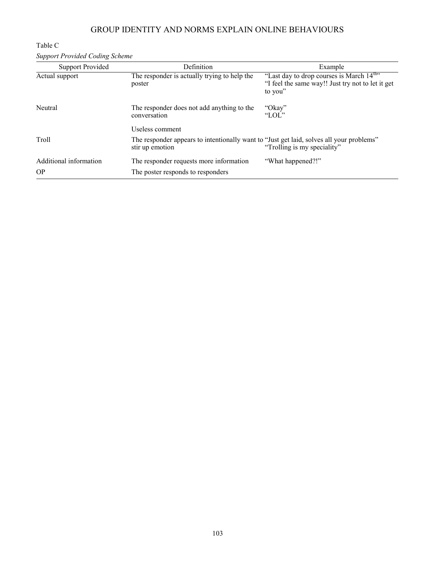## GROUP IDENTITY AND NORMS EXPLAIN ONLINE BEHAVIOURS

## Table C *Support Provided Coding Scheme*

| <b>Support Provided</b> | <b>Definition</b>                                                                                           | Example                                                                                                               |
|-------------------------|-------------------------------------------------------------------------------------------------------------|-----------------------------------------------------------------------------------------------------------------------|
| Actual support          | The responder is actually trying to help the<br>poster                                                      | "Last day to drop courses is March 14 <sup>th</sup> "<br>"I feel the same way!! Just try not to let it get<br>to you" |
| Neutral                 | The responder does not add anything to the<br>conversation                                                  | "Okay"<br>"LOL"                                                                                                       |
|                         | Useless comment                                                                                             |                                                                                                                       |
| Troll                   | The responder appears to intentionally want to "Just get laid, solves all your problems"<br>stir up emotion | "Trolling is my speciality"                                                                                           |
| Additional information  | The responder requests more information                                                                     | "What happened?!"                                                                                                     |
| <b>OP</b>               | The poster responds to responders                                                                           |                                                                                                                       |